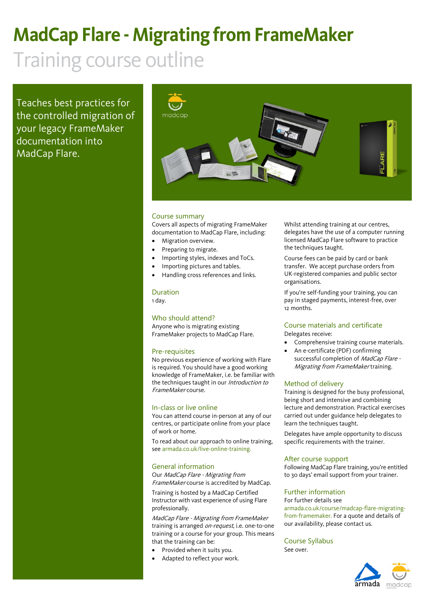## **MadCap Flare - Migrating from FrameMaker**

## Training course outline

Teaches best practices for the controlled migration of your legacy FrameMaker documentation into MadCap Flare.



#### Course summary

Covers all aspects of migrating FrameMaker documentation to MadCap Flare, including:

- Migration overview.
- Preparing to migrate.
- Importing styles, indexes and ToCs.
- Importing pictures and tables.
- Handling cross references and links.

#### Duration

1 day.

#### Who should attend?

Anyone who is migrating existing FrameMaker projects to MadCap Flare.

#### Pre-requisites

No previous experience of working with Flare is required. You should have a good working knowledge of FrameMaker, i.e. be familiar with the techniques taught in our Introduction to FrameMaker course.

#### In-class or live online

You can attend course in-person at any of our centres, or participate online from your place of work or home.

To read about our approach to online training, see [armada.co.uk/live-online-training.](https://www.armada.co.uk/live-online-training/)

#### General information

Our MadCap Flare - Migrating from FrameMaker course is accredited by MadCap.

Training is hosted by a MadCap Certified Instructor with vast experience of using Flare professionally.

MadCap Flare - Migrating from FrameMaker training is arranged *on-request*, i.e. one-to-one training or a course for your group. This means that the training can be:

- Provided when it suits you.
- Adapted to reflect your work.

Whilst attending training at our centres, delegates have the use of a computer running licensed MadCap Flare software to practice the techniques taught.

Course fees can be paid by card or bank transfer. We accept purchase orders from UK-registered companies and public sector organisations.

If you're self-funding your training, you can pay in staged payments, interest-free, over 12 months.

### Course materials and certificate

Delegates receive:

- Comprehensive training course materials. • An e-certificate (PDF) confirming
- successful completion of MadCap Flare -Migrating from FrameMaker training.

#### Method of delivery

Training is designed for the busy professional, being short and intensive and combining lecture and demonstration. Practical exercises carried out under guidance help delegates to learn the techniques taught.

Delegates have ample opportunity to discuss specific requirements with the trainer.

#### After course support

Following MadCap Flare training, you're entitled to 30 days' email support from your trainer.

#### Further information

For further details see [armada.co.uk/course/madcap-flare-migrating](https://www.armada.co.uk/course/madcap-flare-migrating-from-framemaker/)[from-framemaker.](https://www.armada.co.uk/course/madcap-flare-migrating-from-framemaker/) For a quote and details of our availability, please contact us.

Course Syllabus See over.